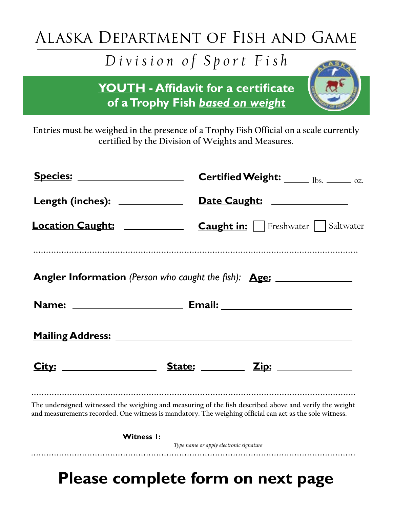## Alaska Department of Fish and Game

## *Division of Sport Fish*

**YOUTH - Affidavit for a certificate of a Trophy Fish** *based on weight*

**Entries must be weighed in the presence of a Trophy Fish Official on a scale currently certified by the Division of Weights and Measures.**

| <u>Species: ____________________</u> |                                              | Certified Weight: Ibs. _____ oz.                                                                                                                                                                                  |  |  |
|--------------------------------------|----------------------------------------------|-------------------------------------------------------------------------------------------------------------------------------------------------------------------------------------------------------------------|--|--|
| <u>Length (inches): ____________</u> |                                              | Date Caught: _____________                                                                                                                                                                                        |  |  |
|                                      |                                              |                                                                                                                                                                                                                   |  |  |
|                                      |                                              | Angler Information (Person who caught the fish): Age: __________________________                                                                                                                                  |  |  |
|                                      |                                              |                                                                                                                                                                                                                   |  |  |
|                                      |                                              |                                                                                                                                                                                                                   |  |  |
|                                      |                                              |                                                                                                                                                                                                                   |  |  |
|                                      |                                              | The undersigned witnessed the weighing and measuring of the fish described above and verify the weight<br>and measurements recorded. One witness is mandatory. The weighing official can act as the sole witness. |  |  |
|                                      | <u>Witness I: __________________________</u> |                                                                                                                                                                                                                   |  |  |
|                                      | Type name or apply electronic signature      |                                                                                                                                                                                                                   |  |  |
|                                      |                                              |                                                                                                                                                                                                                   |  |  |

## **Please complete form on next page**